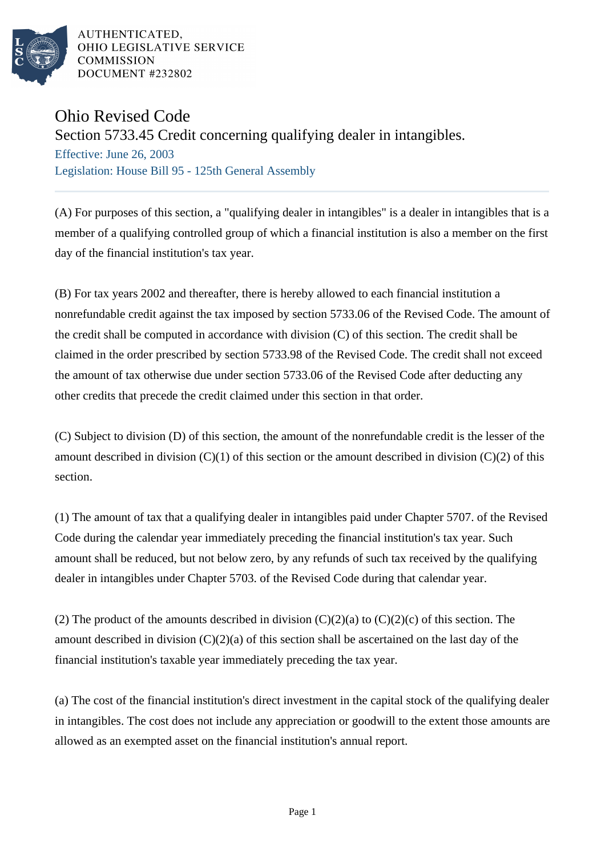

AUTHENTICATED, OHIO LEGISLATIVE SERVICE **COMMISSION** DOCUMENT #232802

## Ohio Revised Code

## Section 5733.45 Credit concerning qualifying dealer in intangibles.

Effective: June 26, 2003 Legislation: House Bill 95 - 125th General Assembly

(A) For purposes of this section, a "qualifying dealer in intangibles" is a dealer in intangibles that is a member of a qualifying controlled group of which a financial institution is also a member on the first day of the financial institution's tax year.

(B) For tax years 2002 and thereafter, there is hereby allowed to each financial institution a nonrefundable credit against the tax imposed by section 5733.06 of the Revised Code. The amount of the credit shall be computed in accordance with division (C) of this section. The credit shall be claimed in the order prescribed by section 5733.98 of the Revised Code. The credit shall not exceed the amount of tax otherwise due under section 5733.06 of the Revised Code after deducting any other credits that precede the credit claimed under this section in that order.

(C) Subject to division (D) of this section, the amount of the nonrefundable credit is the lesser of the amount described in division  $(C)(1)$  of this section or the amount described in division  $(C)(2)$  of this section.

(1) The amount of tax that a qualifying dealer in intangibles paid under Chapter 5707. of the Revised Code during the calendar year immediately preceding the financial institution's tax year. Such amount shall be reduced, but not below zero, by any refunds of such tax received by the qualifying dealer in intangibles under Chapter 5703. of the Revised Code during that calendar year.

(2) The product of the amounts described in division  $(C)(2)(a)$  to  $(C)(2)(c)$  of this section. The amount described in division  $(C)(2)(a)$  of this section shall be ascertained on the last day of the financial institution's taxable year immediately preceding the tax year.

(a) The cost of the financial institution's direct investment in the capital stock of the qualifying dealer in intangibles. The cost does not include any appreciation or goodwill to the extent those amounts are allowed as an exempted asset on the financial institution's annual report.